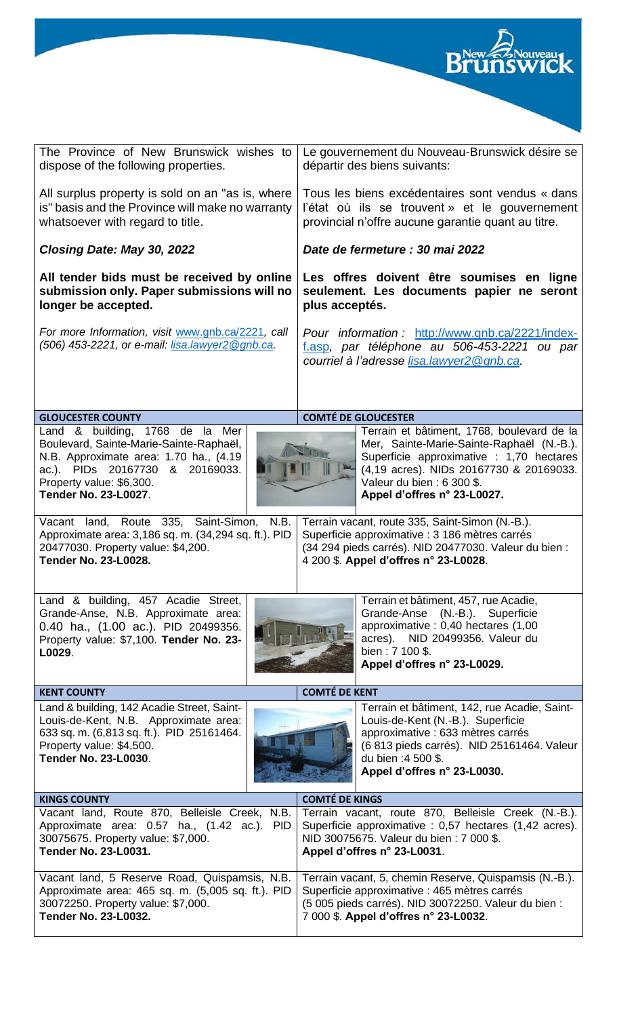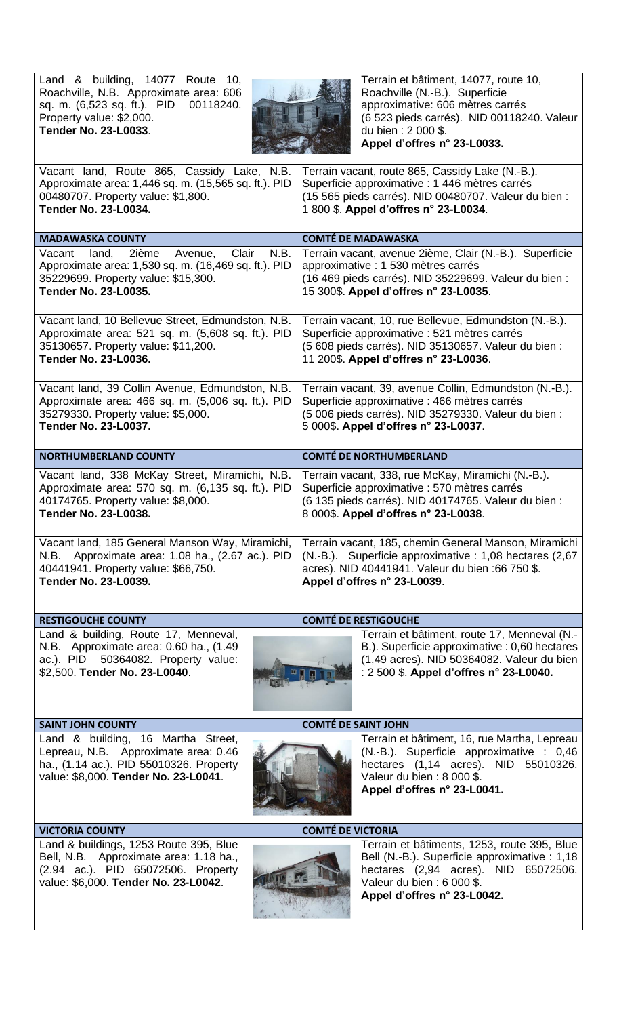| Land & building,<br>14077<br>Terrain et bâtiment, 14077, route 10,<br>Route<br>10,<br>Roachville, N.B. Approximate area: 606<br>Roachville (N.-B.). Superficie<br>approximative: 606 mètres carrés<br>sq. m. (6,523 sq. ft.). PID<br>00118240.<br>(6 523 pieds carrés). NID 00118240. Valeur<br>Property value: \$2,000.<br><b>Tender No. 23-L0033.</b><br>du bien: 2 000 \$.<br>Appel d'offres n° 23-L0033. |                                                                                                                                                                                                        |  |  |  |
|--------------------------------------------------------------------------------------------------------------------------------------------------------------------------------------------------------------------------------------------------------------------------------------------------------------------------------------------------------------------------------------------------------------|--------------------------------------------------------------------------------------------------------------------------------------------------------------------------------------------------------|--|--|--|
| Vacant land, Route 865, Cassidy Lake, N.B.<br>Approximate area: 1,446 sq. m. (15,565 sq. ft.). PID<br>00480707. Property value: \$1,800.<br><b>Tender No. 23-L0034.</b>                                                                                                                                                                                                                                      | Terrain vacant, route 865, Cassidy Lake (N.-B.).<br>Superficie approximative : 1 446 mètres carrés<br>(15 565 pieds carrés). NID 00480707. Valeur du bien :<br>1 800 \$. Appel d'offres n° 23-L0034.   |  |  |  |
| <b>MADAWASKA COUNTY</b>                                                                                                                                                                                                                                                                                                                                                                                      | <b>COMTÉ DE MADAWASKA</b>                                                                                                                                                                              |  |  |  |
| Clair<br>N.B.<br>2ième<br>Avenue,<br>Vacant<br>land,<br>Approximate area: 1,530 sq. m. (16,469 sq. ft.). PID<br>35229699. Property value: \$15,300.<br><b>Tender No. 23-L0035.</b>                                                                                                                                                                                                                           | Terrain vacant, avenue 2ième, Clair (N.-B.). Superficie<br>approximative : 1 530 mètres carrés<br>(16 469 pieds carrés). NID 35229699. Valeur du bien :<br>15 300\$. Appel d'offres n° 23-L0035.       |  |  |  |
| Vacant land, 10 Bellevue Street, Edmundston, N.B.<br>Approximate area: 521 sq. m. (5,608 sq. ft.). PID<br>35130657. Property value: \$11,200.<br><b>Tender No. 23-L0036.</b>                                                                                                                                                                                                                                 | Terrain vacant, 10, rue Bellevue, Edmundston (N.-B.).<br>Superficie approximative : 521 mètres carrés<br>(5 608 pieds carrés). NID 35130657. Valeur du bien :<br>11 200\$. Appel d'offres n° 23-L0036. |  |  |  |
| Vacant land, 39 Collin Avenue, Edmundston, N.B.<br>Approximate area: 466 sq. m. (5,006 sq. ft.). PID<br>35279330. Property value: \$5,000.<br><b>Tender No. 23-L0037.</b>                                                                                                                                                                                                                                    | Terrain vacant, 39, avenue Collin, Edmundston (N.-B.).<br>Superficie approximative : 466 mètres carrés<br>(5 006 pieds carrés). NID 35279330. Valeur du bien :<br>5 000\$. Appel d'offres n° 23-L0037. |  |  |  |
| <b>NORTHUMBERLAND COUNTY</b>                                                                                                                                                                                                                                                                                                                                                                                 | <b>COMTÉ DE NORTHUMBERLAND</b>                                                                                                                                                                         |  |  |  |
| Vacant land, 338 McKay Street, Miramichi, N.B.<br>Approximate area: 570 sq. m. (6,135 sq. ft.). PID<br>40174765. Property value: \$8,000.<br><b>Tender No. 23-L0038.</b>                                                                                                                                                                                                                                     | Terrain vacant, 338, rue McKay, Miramichi (N.-B.).<br>Superficie approximative : 570 mètres carrés<br>(6 135 pieds carrés). NID 40174765. Valeur du bien :<br>8 000\$. Appel d'offres n° 23-L0038.     |  |  |  |
| Vacant land, 185 General Manson Way, Miramichi,<br>N.B. Approximate area: 1.08 ha., (2.67 ac.). PID<br>40441941. Property value: \$66,750.<br><b>Tender No. 23-L0039.</b>                                                                                                                                                                                                                                    | Terrain vacant, 185, chemin General Manson, Miramichi<br>(N.-B.). Superficie approximative : 1,08 hectares (2,67<br>acres). NID 40441941. Valeur du bien :66 750 \$.<br>Appel d'offres n° 23-L0039.    |  |  |  |
| <b>RESTIGOUCHE COUNTY</b>                                                                                                                                                                                                                                                                                                                                                                                    | <b>COMTÉ DE RESTIGOUCHE</b>                                                                                                                                                                            |  |  |  |
| Land & building, Route 17, Menneval,<br>N.B. Approximate area: 0.60 ha., (1.49<br>ac.). PID 50364082. Property value:<br>\$2,500. Tender No. 23-L0040.                                                                                                                                                                                                                                                       | Terrain et bâtiment, route 17, Menneval (N.-<br>B.). Superficie approximative : 0,60 hectares<br>(1,49 acres). NID 50364082. Valeur du bien<br>: 2 500 \$. Appel d'offres n° 23-L0040.                 |  |  |  |
| <b>SAINT JOHN COUNTY</b>                                                                                                                                                                                                                                                                                                                                                                                     | <b>COMTÉ DE SAINT JOHN</b>                                                                                                                                                                             |  |  |  |
| Land & building, 16 Martha Street,<br>Lepreau, N.B. Approximate area: 0.46<br>ha., (1.14 ac.). PID 55010326. Property<br>value: \$8,000. Tender No. 23-L0041.                                                                                                                                                                                                                                                | Terrain et bâtiment, 16, rue Martha, Lepreau<br>(N.-B.). Superficie approximative : 0,46<br>hectares (1,14 acres). NID 55010326.<br>Valeur du bien: 8 000 \$.<br>Appel d'offres n° 23-L0041.           |  |  |  |
| <b>VICTORIA COUNTY</b>                                                                                                                                                                                                                                                                                                                                                                                       | <b>COMTÉ DE VICTORIA</b>                                                                                                                                                                               |  |  |  |
| Land & buildings, 1253 Route 395, Blue<br>Bell, N.B. Approximate area: 1.18 ha.,<br>(2.94 ac.). PID 65072506. Property<br>value: \$6,000. Tender No. 23-L0042.                                                                                                                                                                                                                                               | Terrain et bâtiments, 1253, route 395, Blue<br>Bell (N.-B.). Superficie approximative : 1,18<br>hectares (2,94 acres). NID 65072506.<br>Valeur du bien: 6 000 \$.<br>Appel d'offres n° 23-L0042.       |  |  |  |